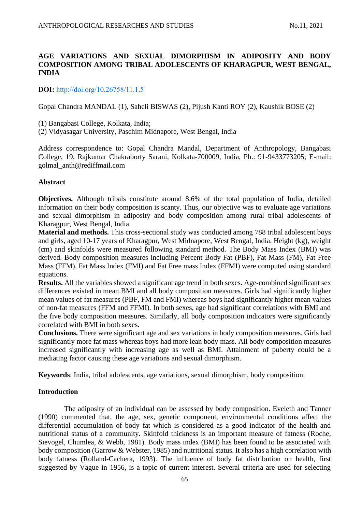# **AGE VARIATIONS AND SEXUAL DIMORPHISM IN ADIPOSITY AND BODY COMPOSITION AMONG TRIBAL ADOLESCENTS OF KHARAGPUR, WEST BENGAL, INDIA**

**DOI:** [http://doi.org/10.26758/11.1.5](https://www.journalstudiesanthropology.ro/en/age-variations-and-sexual-dimorphism-in-adiposity-and-body-composition-among-tribal-adolescents-of-kharagpur-west-bengal-india/a163/)

Gopal Chandra MANDAL (1), Saheli BISWAS (2), Pijush Kanti ROY (2), Kaushik BOSE (2)

(1) Bangabasi College, Kolkata, India;

(2) Vidyasagar University, Paschim Midnapore, West Bengal, India

Address correspondence to: Gopal Chandra Mandal, Department of Anthropology, Bangabasi College, 19, Rajkumar Chakraborty Sarani, Kolkata-700009, India, Ph.: 91-9433773205; E-mail: golmal\_anth@rediffmail.com

### **Abstract**

**Objectives.** Although tribals constitute around 8.6% of the total population of India, detailed information on their body composition is scanty. Thus, our objective was to evaluate age variations and sexual dimorphism in adiposity and body composition among rural tribal adolescents of Kharagpur, West Bengal, India.

**Material and methods.** This cross-sectional study was conducted among 788 tribal adolescent boys and girls, aged 10-17 years of Kharagpur, West Midnapore, West Bengal, India. Height (kg), weight (cm) and skinfolds were measured following standard method. The Body Mass Index (BMI) was derived. Body composition measures including Percent Body Fat (PBF), Fat Mass (FM), Fat Free Mass (FFM), Fat Mass Index (FMI) and Fat Free mass Index (FFMI) were computed using standard equations.

**Results.** All the variables showed a significant age trend in both sexes. Age-combined significant sex differences existed in mean BMI and all body composition measures. Girls had significantly higher mean values of fat measures (PBF, FM and FMI) whereas boys had significantly higher mean values of non-fat measures (FFM and FFMI). In both sexes, age had significant correlations with BMI and the five body composition measures. Similarly, all body composition indicators were significantly correlated with BMI in both sexes.

**Conclusions.** There were significant age and sex variations in body composition measures. Girls had significantly more fat mass whereas boys had more lean body mass. All body composition measures increased significantly with increasing age as well as BMI. Attainment of puberty could be a mediating factor causing these age variations and sexual dimorphism.

**Keywords**: India, tribal adolescents, age variations, sexual dimorphism, body composition.

## **Introduction**

The adiposity of an individual can be assessed by body composition. Eveleth and Tanner (1990) commented that, the age, sex, genetic component, environmental conditions affect the differential accumulation of body fat which is considered as a good indicator of the health and nutritional status of a community. Skinfold thickness is an important measure of fatness (Roche, Sievogel, Chumlea, & Webb, 1981). Body mass index (BMI) has been found to be associated with body composition (Garrow & Webster, 1985) and nutritional status. It also has a high correlation with body fatness (Rolland-Cachera, 1993). The influence of body fat distribution on health, first suggested by Vague in 1956, is a topic of current interest. Several criteria are used for selecting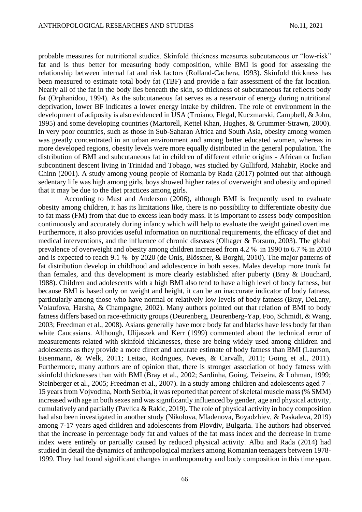probable measures for nutritional studies. Skinfold thickness measures subcutaneous or "low-risk" fat and is thus better for measuring body composition, while BMI is good for assessing the relationship between internal fat and risk factors (Rolland-Cachera, 1993). Skinfold thickness has been measured to estimate total body fat (TBF) and provide a fair assessment of the fat location. Nearly all of the fat in the body lies beneath the skin, so thickness of subcutaneous fat reflects body fat (Orphanidou, 1994). As the subcutaneous fat serves as a reservoir of energy during nutritional deprivation, lower BF indicates a lower energy intake by children. The role of environment in the development of adiposity is also evidenced in USA (Troiano, Flegal, Kuczmarski, Campbell, & John, 1995) and some developing countries (Martorell, Kettel Khan, Hughes, & Grummer-Strawn, 2000). In very poor countries, such as those in Sub-Saharan Africa and South Asia, obesity among women was greatly concentrated in an urban environment and among better educated women, whereas in more developed regions, obesity levels were more equally distributed in the general population. The distribution of BMI and subcutaneous fat in children of different ethnic origins - African or Indian subcontinent descent living in Trinidad and Tobago, was studied by Gulliford, Mahabir, Rocke and Chinn (2001). A study among young people of Romania by Rada (2017) pointed out that although sedentary life was high among girls, boys showed higher rates of overweight and obesity and opined that it may be due to the diet practices among girls.

According to Must and Anderson (2006), although BMI is frequently used to evaluate obesity among children, it has its limitations like, there is no possibility to differentiate obesity due to fat mass (FM) from that due to excess lean body mass. It is important to assess body composition continuously and accurately during infancy which will help to evaluate the weight gained overtime. Furthermore, it also provides useful information on nutritional requirements, the efficacy of diet and medical interventions, and the influence of chronic diseases (Olhager & Forsum, 2003). The global prevalence of overweight and obesity among children increased from 4.2 % in 1990 to 6.7 % in 2010 and is expected to reach 9.1 % by 2020 (de Onis, Blössner, & Borghi, 2010). The major patterns of fat distribution develop in childhood and adolescence in both sexes. Males develop more trunk fat than females, and this development is more clearly established after puberty (Bray  $\&$  Bouchard, 1988). Children and adolescents with a high BMI also tend to have a high level of body fatness, but because BMI is based only on weight and height, it can be an inaccurate indicator of body fatness, particularly among those who have normal or relatively low levels of body fatness (Bray, DeLany, Volaufova, Harsha, & Champagne, 2002). Many authors pointed out that relation of BMI to body fatness differs based on race-ethnicity groups (Deurenberg, Deurenberg-Yap, Foo, Schmidt, & Wang, 2003; Freedman et al., 2008). Asians generally have more body fat and blacks have less body fat than white Caucasians. Although, Ulijaszek and Kerr (1999) commented about the technical error of measurements related with skinfold thicknesses, these are being widely used among children and adolescents as they provide a more direct and accurate estimate of body fatness than BMI (Laurson, Eisenmann, & Welk, 2011; Leitao, Rodrigues, Neves, & Carvalh, 2011; Going et al., 2011). Furthermore, many authors are of opinion that, there is stronger association of body fatness with skinfold thicknesses than with BMI (Bray et al., 2002; Sardinha, Going, Teixeira, & Lohman, 1999; Steinberger et al., 2005; Freedman et al., 2007). In a study among children and adolescents aged 7 – 15 years from Vojvodina, North Serbia, it was reported that percent of skeletal muscle mass (% SMM) increased with age in both sexes and was significantly influenced by gender, age and physical activity, cumulatively and partially (Pavlica & Rakic, 2019). The role of physical activity in body composition had also been investigated in another study (Nikolova, Mladenova, Boyadzhiev, & Paskaleva, 2019) among 7-17 years aged children and adolescents from Plovdiv, Bulgaria. The authors had observed that the increase in percentage body fat and values of the fat mass index and the decrease in frame index were entirely or partially caused by reduced physical activity. Albu and Rada (2014) had studied in detail the dynamics of anthropological markers among Romanian teenagers between 1978- 1999. They had found significant changes in anthropometry and body composition in this time span.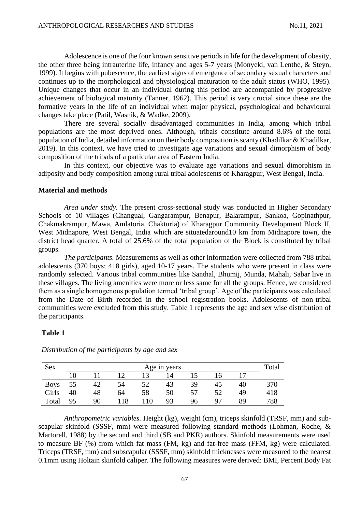Adolescence is one of the four known sensitive periods in life for the development of obesity, the other three being intrauterine life, infancy and ages 5-7 years (Monyeki, van Lenthe, & Steyn, 1999). It begins with pubescence, the earliest signs of emergence of secondary sexual characters and continues up to the morphological and physiological maturation to the adult status (WHO, 1995). Unique changes that occur in an individual during this period are accompanied by progressive achievement of biological maturity (Tanner, 1962). This period is very crucial since these are the formative years in the life of an individual when major physical, psychological and behavioural changes take place (Patil, Wasnik, & Wadke, 2009).

There are several socially disadvantaged communities in India, among which tribal populations are the most deprived ones. Although, tribals constitute around 8.6% of the total population of India, detailed information on their body composition is scanty (Khadilkar & Khadilkar, 2019). In this context, we have tried to investigate age variations and sexual dimorphism of body composition of the tribals of a particular area of Eastern India.

In this context, our objective was to evaluate age variations and sexual dimorphism in adiposity and body composition among rural tribal adolescents of Kharagpur, West Bengal, India.

### **Material and methods**

*Area under study.* The present cross-sectional study was conducted in Higher Secondary Schools of 10 villages (Changual, Gangarampur, Benapur, Balarampur, Sankoa, Gopinathpur, Chakmakrampur, Mawa, Amlatoria, Chakturia) of Kharagpur Community Development Block II, West Midnapore, West Bengal, India which are situatedaround10 km from Midnapore town, the district head quarter. A total of 25.6% of the total population of the Block is constituted by tribal groups.

*The participants.* Measurements as well as other information were collected from 788 tribal adolescents (370 boys; 418 girls), aged 10-17 years. The students who were present in class were randomly selected. Various tribal communities like Santhal, Bhumij, Munda, Mahali, Sabar live in these villages. The living amenities were more or less same for all the groups. Hence, we considered them as a single homogenous population termed 'tribal group'. Age of the participants was calculated from the Date of Birth recorded in the school registration books. Adolescents of non-tribal communities were excluded from this study. Table 1 represents the age and sex wise distribution of the participants.

#### **Table 1**

| Sex         | Age in years |    |     |     |    |    | Total |    |     |
|-------------|--------------|----|-----|-----|----|----|-------|----|-----|
|             |              |    |     |     | 14 |    | 16    |    |     |
| <b>Boys</b> | 55           |    | 54  | 52  | 43 | 39 | 45    | 40 | 370 |
| Girls       | 40           | 48 | 64  | 58  | 50 | 57 | 52    | 49 | 418 |
| Total       | 95           | 90 | 118 | 110 | 93 | 96 | 97    | 89 | 788 |

*Distribution of the participants by age and sex*

*Anthropometric variables.* Height (kg), weight (cm), triceps skinfold (TRSF, mm) and subscapular skinfold (SSSF, mm) were measured following standard methods (Lohman, Roche, & Martorell, 1988) by the second and third (SB and PKR) authors. Skinfold measurements were used to measure BF (%) from which fat mass (FM, kg) and fat-free mass (FFM, kg) were calculated. Triceps (TRSF, mm) and subscapular (SSSF, mm) skinfold thicknesses were measured to the nearest 0.1mm using Holtain skinfold caliper. The following measures were derived: BMI, Percent Body Fat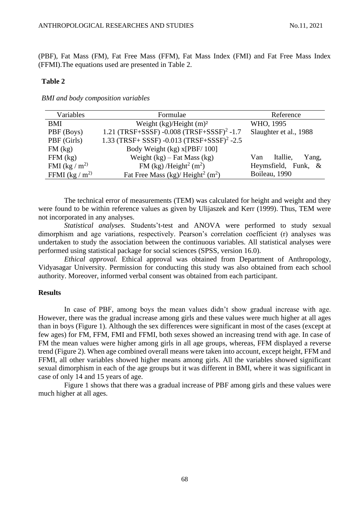(PBF), Fat Mass (FM), Fat Free Mass (FFM), Fat Mass Index (FMI) and Fat Free Mass Index (FFMI).The equations used are presented in Table 2.

#### **Table 2**

*BMI and body composition variables*

| Variables         | Formulae                                                  | Reference                |
|-------------------|-----------------------------------------------------------|--------------------------|
| BMI               | Weight $(kg)/Height(m)^2$                                 | WHO, 1995                |
| PBF (Boys)        | 1.21 (TRSF+SSSF) -0.008 (TRSF+SSSF) <sup>2</sup> -1.7     | Slaughter et al., 1988   |
| PBF (Girls)       | 1.33 (TRSF+ SSSF) -0.013 (TRSF+SSSF) <sup>2</sup> -2.5    |                          |
| $FM$ (kg)         | Body Weight (kg) x[PBF/100]                               |                          |
| $FFM$ (kg)        | Weight $(kg)$ – Fat Mass $(kg)$                           | Itallie,<br>Yang,<br>Van |
| FMI (kg / $m2$ )  | FM (kg) /Height <sup>2</sup> (m <sup>2</sup> )            | Heymsfield, Funk, &      |
| FFMI (kg / $m2$ ) | Fat Free Mass (kg)/ Height <sup>2</sup> (m <sup>2</sup> ) | Boileau, 1990            |

The technical error of measurements (TEM) was calculated for height and weight and they were found to be within reference values as given by Ulijaszek and Kerr (1999). Thus, TEM were not incorporated in any analyses.

*Statistical analyses.* Students't-test and ANOVA were performed to study sexual dimorphism and age variations, respectively. Pearson's correlation coefficient (r) analyses was undertaken to study the association between the continuous variables. All statistical analyses were performed using statistical package for social sciences (SPSS, version 16.0).

*Ethical approval.* Ethical approval was obtained from Department of Anthropology, Vidyasagar University. Permission for conducting this study was also obtained from each school authority. Moreover, informed verbal consent was obtained from each participant.

## **Results**

In case of PBF, among boys the mean values didn't show gradual increase with age. However, there was the gradual increase among girls and these values were much higher at all ages than in boys (Figure 1). Although the sex differences were significant in most of the cases (except at few ages) for FM, FFM, FMI and FFMI, both sexes showed an increasing trend with age. In case of FM the mean values were higher among girls in all age groups, whereas, FFM displayed a reverse trend (Figure 2). When age combined overall means were taken into account, except height, FFM and FFMI, all other variables showed higher means among girls. All the variables showed significant sexual dimorphism in each of the age groups but it was different in BMI, where it was significant in case of only 14 and 15 years of age.

Figure 1 shows that there was a gradual increase of PBF among girls and these values were much higher at all ages.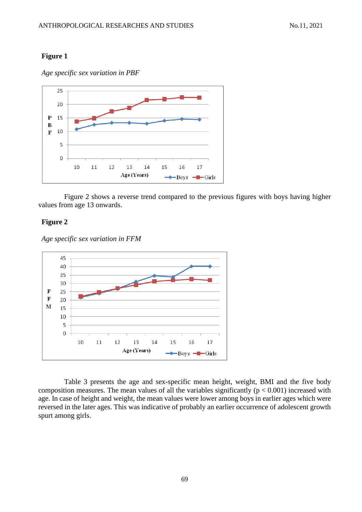### **Figure 1**

*Age specific sex variation in PBF*



Figure 2 shows a reverse trend compared to the previous figures with boys having higher values from age 13 onwards.

### **Figure 2**

*Age specific sex variation in FFM*



Table 3 presents the age and sex-specific mean height, weight, BMI and the five body composition measures. The mean values of all the variables significantly ( $p < 0.001$ ) increased with age. In case of height and weight, the mean values were lower among boys in earlier ages which were reversed in the later ages. This was indicative of probably an earlier occurrence of adolescent growth spurt among girls.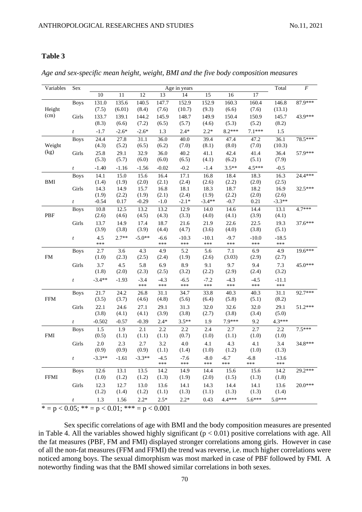### **Table 3**

| Variables   | Sex              |            |         |          |               | Age in years   |                |               |                | Total          | $\cal F$  |
|-------------|------------------|------------|---------|----------|---------------|----------------|----------------|---------------|----------------|----------------|-----------|
|             |                  | $10\,$     | 11      | 12       | 13            | 14             | 15             | 16            | 17             |                |           |
|             | <b>Boys</b>      | 131.0      | 135.6   | 140.5    | 147.7         | 152.9          | 152.9          | 160.3         | 160.4          | 146.8          | 87.9***   |
| Height      |                  | (7.5)      | (6.01)  | (8.4)    | (7.6)         | (10.7)         | (9.3)          | (6.6)         | (7.6)          | (13.1)         |           |
| (cm)        | Girls            | 133.7      | 139.1   | 144.2    | 145.9         | 148.7          | 149.9          | 150.4         | 150.9          | 145.7          | 43.9***   |
|             |                  | (8.3)      | (6.6)   | (7.2)    | (6.5)         | (5.7)          | (4.6)          | (5.3)         | (5.2)          | (8.2)          |           |
|             | $\boldsymbol{t}$ | $-1.7$     | $-2.6*$ | $-2.6*$  | 1.3           | $2.4*$         | $2.2*$         | $8.2***$      | $7.1***$       | 1.5            |           |
|             | <b>Boys</b>      | 24.4       | 27.8    | 31.1     | 36.0          | 40.0           | 39.4           | 47.4          | 47.2           | 36.1           | 78.5***   |
| Weight      |                  | (4.3)      | (5.2)   | (6.5)    | (6.2)         | (7.0)          | (8.1)          | (8.0)         | (7.0)          | (10.3)         |           |
| (kg)        | Girls            | 25.8       | 29.1    | 32.9     | 36.0          | 40.2           | 41.1           | 42.4          | 41.4           | 36.4           | 57.9***   |
|             |                  | (5.3)      | (5.7)   | (6.0)    | (6.0)         | (6.5)          | (4.1)          | (6.2)         | (5.1)          | (7.9)          |           |
|             | $\boldsymbol{t}$ | $-1.40$    | $-1.16$ | $-1.56$  | $-0.02$       | $-0.2$         | $-1.4$         | $3.5**$       | 4.5***         | $-0.5$         |           |
|             | <b>Boys</b>      | 14.1       | 15.0    | 15.6     | 16.4          | 17.1           | 16.8           | 18.4          | 18.3           | 16.3           | $24.4***$ |
| BMI         |                  | (1.4)      | (1.9)   | (2.0)    | (2.1)         | (2.4)          | (2.6)          | (2.2)         | (2.0)          | (2.5)          |           |
|             | Girls            | 14.3       | 14.9    | 15.7     | 16.8          | 18.1           | 18.3           | 18.7          | 18.2           | 16.9           | 32.5***   |
|             |                  | (1.9)      | (2.2)   | (1.9)    | (2.1)         | (2.4)          | (1.9)          | (2.2)         | (2.0)          | (2.6)          |           |
|             | $\boldsymbol{t}$ | $-0.54$    | 0.17    | $-0.29$  | $-1.0$        | $-2.1*$        | $-3.4**$       | $-0.7$        | 0.21           | $-3.3**$       |           |
|             | <b>Boys</b>      | 10.8       | 12.5    | 13.2     | 13.2          | 12.9           | 14.0           | 14.6          | 14.4           | 13.1           | $4.7***$  |
| PBF         |                  | (2.6)      | (4.6)   | (4.5)    | (4.3)         | (3.3)          | (4.0)          | (4.1)         | (3.9)          | (4.1)          |           |
|             | Girls            | 13.7       | 14.9    | 17.4     | 18.7          | 21.6           | 21.9           | 22.6          | 22.5           | 19.3           | 37.6***   |
|             |                  | (3.9)      | (3.8)   | (3.9)    | (4.4)         | (4.7)          | (3.6)          | (4.0)         | (3.8)          | (5.1)          |           |
|             | $\boldsymbol{t}$ | 4.5<br>*** | $2.7**$ | $-5.0**$ | $-6.6$<br>*** | $-10.3$<br>*** | $-10.1$<br>*** | $-9.7$<br>*** | $-10.0$<br>*** | $-18.5$<br>*** |           |
|             | <b>Boys</b>      | 2.7        | 3.6     | 4.3      | 4.9           | 5.2            | 5.6            | 7.1           | 6.9            | 4.9            | 19.6***   |
| FM          |                  | (1.0)      | (2.3)   | (2.5)    | (2.4)         | (1.9)          | (2.6)          | (3.03)        | (2.9)          | (2.7)          |           |
|             | Girls            | 3.7        | 4.5     | 5.8      | 6.9           | 8.9            | 9.1            | 9.7           | 9.4            | 7.3            | 45.0***   |
|             |                  | (1.8)      | (2.0)   | (2.3)    | (2.5)         | (3.2)          | (2.2)          | (2.9)         | (2.4)          | (3.2)          |           |
|             | $\boldsymbol{t}$ | $-3.4**$   | $-1.93$ | $-3.4$   | $-4.3$        | $-6.5$         | $-7.2$         | $-4.3$        | $-4.5$         | $-11.1$        |           |
|             |                  |            |         | ***      | ***           | ***            | ***            | ***           | ***            | ***            |           |
|             | <b>Boys</b>      | 21.7       | 24.2    | 26.8     | 31.1          | 34.7           | 33.8           | 40.3          | 40.3           | 31.1           | $92.7***$ |
| <b>FFM</b>  |                  | (3.5)      | (3.7)   | (4.6)    | (4.8)         | (5.6)          | (6.4)          | (5.8)         | (5.1)          | (8.2)          |           |
|             | Girls            | 22.1       | 24.6    | 27.1     | 29.1          | 31.3           | 32.0           | 32.6          | 32.0           | 29.1           | 51.2***   |
|             |                  | (3.8)      | (4.1)   | (4.1)    | (3.9)         | (3.8)          | (2.7)          | (3.8)         | (3.4)          | (5.0)          |           |
|             | $\boldsymbol{t}$ | $-0.502$   | $-0.57$ | $-0.39$  | $2.4*$        | $3.5**$        | 1.9            | 7.9***        | 9.2            | 4.3***         |           |
|             | <b>Boys</b>      | 1.5        | 1.9     | 2.1      | 2.2           | 2.2            | 2.4            | 2.7           | 2.7            | 2.2            | $7.5***$  |
| <b>FMI</b>  |                  | (0.5)      | (1.1)   | (1.1)    | (1.1)         | (0.7)          | (1.0)          | (1.1)         | (1.0)          | (1.0)          |           |
|             | Girls            | $2.0\,$    | 2.3     | 2.7      | 3.2           | 4.0            | 4.1            | 4.3           | 4.1            | 3.4            | 34.8***   |
|             |                  | (0.9)      | (0.9)   | (0.9)    | (1.1)         | (1.4)          | (1.0)          | (1.2)         | (1.0)          | (1.3)          |           |
|             | $\boldsymbol{t}$ | $-3.3**$   | $-1.61$ | $-3.3**$ | $-4.5$        | $-7.6$         | $-8.0$         | $-6.7$        | $-6.8$         | $-13.6$        |           |
|             |                  |            |         |          | ***           | ***            | ***            | ***           | ***            | ***            |           |
|             | <b>Boys</b>      | 12.6       | 13.1    | 13.5     | 14.2          | 14.9           | 14.4           | 15.6          | 15.6           | 14.2           | 29.2***   |
| <b>FFMI</b> |                  | (1.0)      | (1.2)   | (1.2)    | (1.3)         | (1.9)          | (2.0)          | (1.5)         | (1.3)          | (1.8)          |           |
|             | Girls            | 12.3       | 12.7    | 13.0     | 13.6          | 14.1           | 14.3           | 14.4          | 14.1           | 13.6           | $20.0***$ |
|             |                  | (1.2)      | (1.4)   | (1.2)    | (1.1)         | (1.3)          | (1.1)          | (1.3)         | (1.3)          | (1.4)          |           |
|             | $\boldsymbol{t}$ | 1.3        | 1.56    | $2.2*$   | $2.5*$        | $2.2*$         | 0.43           | $4.4***$      | $5.6***$       | $5.0***$       |           |

*Age and sex-specific mean height, weight, BMI and the five body composition measures*

 $\overline{p} = p < 0.05$ ;  $\overline{p} = p < 0.01$ ;  $\overline{p} = p < 0.001$ 

Sex specific correlations of age with BMI and the body composition measures are presented in Table 4. All the variables showed highly significant ( $p < 0.01$ ) positive correlations with age. All the fat measures (PBF, FM and FMI) displayed stronger correlations among girls. However in case of all the non-fat measures (FFM and FFMI) the trend was reverse, i.e. much higher correlations were noticed among boys. The sexual dimorphism was most marked in case of PBF followed by FMI. A noteworthy finding was that the BMI showed similar correlations in both sexes.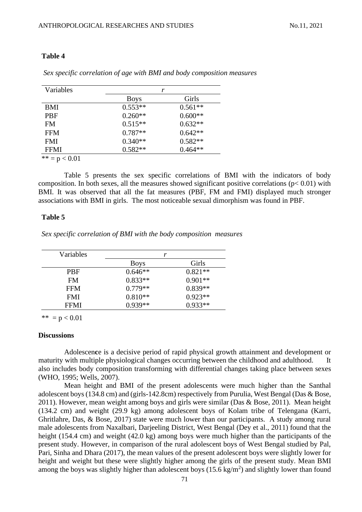#### **Table 4**

| Variables       |             | r         |  |  |  |
|-----------------|-------------|-----------|--|--|--|
|                 | <b>Boys</b> | Girls     |  |  |  |
| <b>BMI</b>      | $0.553**$   | $0.561**$ |  |  |  |
| <b>PBF</b>      | $0.260**$   | $0.600**$ |  |  |  |
| <b>FM</b>       | $0.515**$   | $0.632**$ |  |  |  |
| <b>FFM</b>      | $0.787**$   | $0.642**$ |  |  |  |
| <b>FMI</b>      | $0.340**$   | $0.582**$ |  |  |  |
| <b>FFMI</b>     | $0.582**$   | $0.464**$ |  |  |  |
| $** - n > 0.01$ |             |           |  |  |  |

*Sex specific correlation of age with BMI and body composition measures*

 $= p < 0.01$ 

Table 5 presents the sex specific correlations of BMI with the indicators of body composition. In both sexes, all the measures showed significant positive correlations ( $p < 0.01$ ) with BMI. It was observed that all the fat measures (PBF, FM and FMI) displayed much stronger associations with BMI in girls. The most noticeable sexual dimorphism was found in PBF.

## **Table 5**

*Sex specific correlation of BMI with the body composition measures*

| Variables   | r           |           |  |  |  |
|-------------|-------------|-----------|--|--|--|
|             | <b>Boys</b> | Girls     |  |  |  |
| <b>PBF</b>  | $0.646**$   | $0.821**$ |  |  |  |
| <b>FM</b>   | $0.833**$   | $0.901**$ |  |  |  |
| <b>FFM</b>  | $0.779**$   | $0.839**$ |  |  |  |
| <b>FMI</b>  | $0.810**$   | $0.923**$ |  |  |  |
| <b>FFMI</b> | $0.939**$   | $0.933**$ |  |  |  |

\*\*  $= p < 0.01$ 

#### **Discussions**

Adolescen**c**e is a decisive period of rapid physical growth attainment and development or maturity with multiple physiological changes occurring between the childhood and adulthood. It also includes body composition transforming with differential changes taking place between sexes (WHO, 1995; Wells, 2007).

Mean height and BMI of the present adolescents were much higher than the Santhal adolescent boys (134.8 cm) and (girls-142.8cm) respectively from Purulia, West Bengal (Das & Bose, 2011). However, mean weight among boys and girls were similar (Das & Bose, 2011). Mean height (134.2 cm) and weight (29.9 kg) among adolescent boys of Kolam tribe of Telengana (Karri, Ghritlahre, Das, & Bose, 2017) state were much lower than our participants. A study among rural male adolescents from Naxalbari, Darjeeling District, West Bengal (Dey et al., 2011) found that the height (154.4 cm) and weight (42.0 kg) among boys were much higher than the participants of the present study. However, in comparison of the rural adolescent boys of West Bengal studied by Pal, Pari, Sinha and Dhara (2017), the mean values of the present adolescent boys were slightly lower for height and weight but these were slightly higher among the girls of the present study. Mean BMI among the boys was slightly higher than adolescent boys  $(15.6 \text{ kg/m}^2)$  and slightly lower than found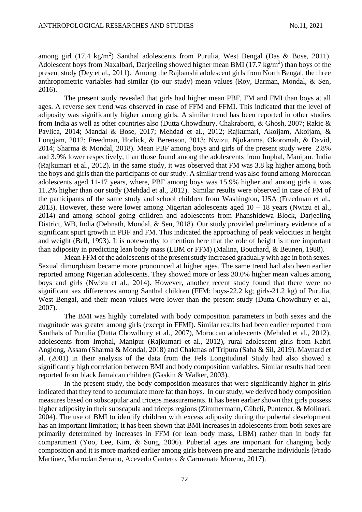among girl  $(17.4 \text{ kg/m}^2)$  Santhal adolescents from Purulia, West Bengal (Das & Bose, 2011). Adolescent boys from Naxalbari, Darjeeling showed higher mean BMI (17.7 kg/m<sup>2</sup>) than boys of the present study (Dey et al., 2011). Among the Rajbanshi adolescent girls from North Bengal, the three anthropometric variables had similar (to our study) mean values (Roy, Barman, Mondal, & Sen, 2016).

The present study revealed that girls had higher mean PBF, FM and FMI than boys at all ages. A reverse sex trend was observed in case of FFM and FFMI. This indicated that the level of adiposity was significantly higher among girls. A similar trend has been reported in other studies from India as well as other countries also (Dutta Chowdhury, Chakraborti, & Ghosh, 2007; Rakic & Pavlica, 2014; Mandal & Bose, 2017; Mehdad et al., 2012; Rajkumari, Akoijam, Akoijam, & Longjam, 2012; Freedman, Horlick, & Berenson, 2013; Nwizu, Njokanma, Okoromah, & David, 2014; Sharma & Mondal, 2018). Mean PBF among boys and girls of the present study were 2.8% and 3.9% lower respectively, than those found among the adolescents from Imphal, Manipur, India (Rajkumari et al., 2012). In the same study, it was observed that FM was 3.8 kg higher among both the boys and girls than the participants of our study. A similar trend was also found among Moroccan adolescents aged 11-17 years, where, PBF among boys was 15.9% higher and among girls it was 11.2% higher than our study (Mehdad et al., 2012). Similar results were observed in case of FM of the participants of the same study and school children from Washington, USA (Freedman et al., 2013). However, these were lower among Nigerian adolescents aged  $10 - 18$  years (Nwizu et al., 2014) and among school going children and adolescents from Phanshidewa Block, Darjeeling District, WB, India (Debnath, Mondal, & Sen, 2018). Our study provided preliminary evidence of a significant spurt growth in PBF and FM. This indicated the approaching of peak velocities in height and weight (Bell, 1993). It is noteworthy to mention here that the role of height is more important than adiposity in predicting lean body mass (LBM or FFM) (Malina, Bouchard, & Beunen, 1988).

Mean FFM of the adolescents of the present study increased gradually with age in both sexes. Sexual dimorphism became more pronounced at higher ages. The same trend had also been earlier reported among Nigerian adolescents. They showed more or less 30.0% higher mean values among boys and girls (Nwizu et al., 2014). However, another recent study found that there were no significant sex differences among Santhal children (FFM: boys-22.2 kg; girls-21.2 kg) of Purulia, West Bengal, and their mean values were lower than the present study (Dutta Chowdhury et al., 2007).

The BMI was highly correlated with body composition parameters in both sexes and the magnitude was greater among girls (except in FFMI). Similar results had been earlier reported from Santhals of Purulia (Dutta Chowdhury et al., 2007), Moroccan adolescents (Mehdad et al., 2012), adolescents from Imphal, Manipur (Rajkumari et al., 2012), rural adolescent girls from Kabri Anglong, Assam (Sharma & Mondal, 2018) and Chakmas of Tripura (Saha & Sil, 2019). Maynard et al. (2001) in their analysis of the data from the Fels Longitudinal Study had also showed a significantly high correlation between BMI and body composition variables. Similar results had been reported from black Jamaican children (Gaskin & Walker, 2003).

In the present study, the body composition measures that were significantly higher in girls indicated that they tend to accumulate more fat than boys. In our study, we derived body composition measures based on subscapular and triceps measurements. It has been earlier shown that girls possess higher adiposity in their subscapula and triceps regions (Zimmermann, Gübeli, Puntener, & Molinari, 2004). The use of BMI to identify children with excess adiposity during the pubertal development has an important limitation; it has been shown that BMI increases in adolescents from both sexes are primarily determined by increases in FFM (or lean body mass, LBM) rather than in body fat compartment (Yoo, Lee, Kim, & Sung, 2006). Pubertal ages are important for changing body composition and it is more marked earlier among girls between pre and menarche individuals (Prado Martinez, Marrodan Serrano, Acevedo Cantero, & Carmenate Moreno, 2017).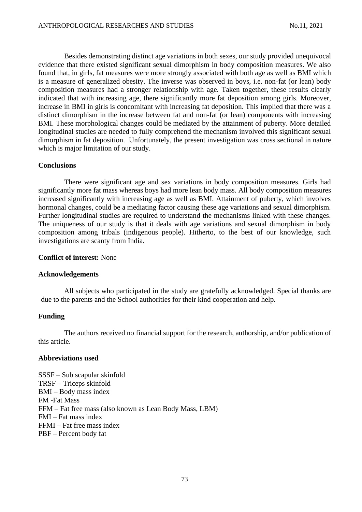Besides demonstrating distinct age variations in both sexes, our study provided unequivocal evidence that there existed significant sexual dimorphism in body composition measures. We also found that, in girls, fat measures were more strongly associated with both age as well as BMI which is a measure of generalized obesity. The inverse was observed in boys, i.e. non-fat (or lean) body composition measures had a stronger relationship with age. Taken together, these results clearly indicated that with increasing age, there significantly more fat deposition among girls. Moreover, increase in BMI in girls is concomitant with increasing fat deposition. This implied that there was a distinct dimorphism in the increase between fat and non-fat (or lean) components with increasing BMI. These morphological changes could be mediated by the attainment of puberty. More detailed longitudinal studies are needed to fully comprehend the mechanism involved this significant sexual dimorphism in fat deposition. Unfortunately, the present investigation was cross sectional in nature which is major limitation of our study.

## **Conclusions**

There were significant age and sex variations in body composition measures. Girls had significantly more fat mass whereas boys had more lean body mass. All body composition measures increased significantly with increasing age as well as BMI. Attainment of puberty, which involves hormonal changes, could be a mediating factor causing these age variations and sexual dimorphism. Further longitudinal studies are required to understand the mechanisms linked with these changes. The uniqueness of our study is that it deals with age variations and sexual dimorphism in body composition among tribals (indigenous people). Hitherto, to the best of our knowledge, such investigations are scanty from India.

### **Conflict of interest:** None

### **Acknowledgements**

All subjects who participated in the study are gratefully acknowledged. Special thanks are due to the parents and the School authorities for their kind cooperation and help.

## **Funding**

The authors received no financial support for the research, authorship, and/or publication of this article.

## **Abbreviations used**

SSSF – Sub scapular skinfold TRSF – Triceps skinfold BMI – Body mass index FM -Fat Mass FFM – Fat free mass (also known as Lean Body Mass, LBM) FMI – Fat mass index FFMI – Fat free mass index PBF – Percent body fat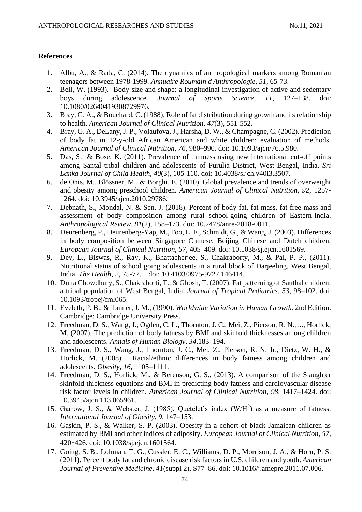## **References**

- 1. Albu, A., & Rada, C. (2014). The dynamics of anthropological markers among Romanian teenagers between 1978-1999. *Annuaire Roumain d'Anthropologie*, *51*, 65-73.
- 2. Bell, W. (1993). Body size and shape: a longitudinal investigation of active and sedentary boys during adolescence. *Journal of Sports Science, 11,* 127–138. doi: 10.1080/02640419308729976.
- 3. Bray, G. A., & Bouchard, C. (1988). Role of fat distribution during growth and its relationship to health. *American Journal of Clinical Nutrition, 47*(3), 551-552.
- 4. Bray, G. A., DeLany, J. P., Volaufova, J., Harsha, D. W., & Champagne, C. (2002). Prediction of body fat in 12-y-old African American and white children: evaluation of methods. *American Journal of Clinical Nutrition*, *76,* 980–990. doi: 10.1093/ajcn/76.5.980.
- 5. Das, S. & Bose, K. (2011). Prevalence of thinness using new international cut-off points among Santal tribal children and adolescents of Purulia District, West Bengal, India. *Sri Lanka Journal of Child Health, 40*(3), 105-110. doi: 10.4038/sljch.v40i3.3507.
- 6. de Onis, M., Blössner, M., & Borghi, E. (2010). Global prevalence and trends of overweight and obesity among preschool children. *American Journal of Clinical Nutrition, 92,* 1257- 1264. [doi:](https://doi/) 10.3945/ajcn.2010.29786.
- 7. Debnath, S., Mondal, N. & Sen, J. (2018). Percent of body fat, fat-mass, fat-free mass and assessment of body composition among rural school-going children of Eastern-India. *Anthropological Review, 81*(2), 158–173. doi: 10.2478/anre-2018-0011.
- 8. Deurenberg, P., Deurenberg-Yap, M., Foo, L. F., Schmidt, G., & Wang, J. (2003). Differences in body composition between Singapore Chinese, Beijing Chinese and Dutch children. *European Journal of Clinical Nutrition*, *57,* 405–409. doi: 10.1038/sj.ejcn.1601569.
- 9. Dey, L., Biswas, R., Ray, K., Bhattacherjee, S., Chakraborty, M., & Pal, P. P., (2011). Nutritional status of school going adolescents in a rural block of Darjeeling, West Bengal, India. *The Health, 2,* 75-77. doi: 10.4103/0975-9727.146414.
- 10. Dutta Chowdhury, S., Chakraborti, T., & Ghosh, T. (2007). Fat patterning of Santhal children: a tribal population of West Bengal, India. *Journal of Tropical Pediatrics, 53,* 98–102. doi: 10.1093/tropej/fml065.
- 11. Eveleth, P. B., & Tanner, J. M., (1990). *Worldwide Variation in Human Growth.* 2nd Edition. Cambridge: Cambridge University Press.
- 12. Freedman, D. S., Wang, J., Ogden, C. L., Thornton, J. C., Mei, Z., Pierson, R. N., ..., Horlick, M. (2007). The prediction of body fatness by BMI and skinfold thicknesses among children and adolescents. *Annals of Human Biology, 34,*183–194.
- 13. Freedman, D. S., Wang, J., Thornton, J. C., Mei, Z., Pierson, R. N. Jr., Dietz, W. H., & Horlick, M. (2008). Racial/ethnic differences in body fatness among children and adolescents. *Obesity*, *16,* 1105–1111.
- 14. Freedman, D. S., Horlick, M., & Berenson, G. S., (2013). A comparison of the Slaughter skinfold-thickness equations and BMI in predicting body fatness and cardiovascular disease risk factor levels in children. *American Journal of Clinical Nutrition, 98,* 1417–1424. doi: 10.3945/ajcn.113.065961.
- 15. Garrow, J. S., & Webster, J. (1985). Quetelet's index (W/H<sup>2</sup>) as a measure of fatness. *International Journal of Obesity, 9,* 147–153.
- 16. Gaskin, P. S., & Walker, S. P. (2003). Obesity in a cohort of black Jamaican children as estimated by BMI and other indices of adiposity. *European Journal of Clinical Nutrition*, *57,* 420‑426. doi: 10.1038/sj.ejcn.1601564.
- 17. Going, S. B., Lohman, T. G., Cussler, E. C., Williams, D. P., Morrison, J. A., & Horn, P. S. (2011). Percent body fat and chronic disease risk factors in U.S. children and youth. *American Journal of Preventive Medicine, 41*(suppl 2), S77–86. doi: 10.1016/j.amepre.2011.07.006.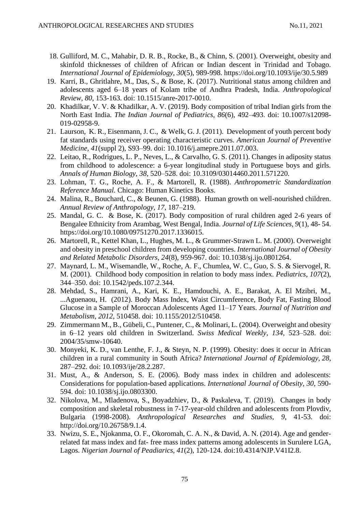- 18. Gulliford, M. C., Mahabir, D. R. B., Rocke, B., & Chinn, S. (2001). Overweight, obesity and skinfold thicknesses of children of African or Indian descent in Trinidad and Tobago. *International Journal of [Epidemiology](https://www.researchgate.net/journal/0300-5771_International_Journal_of_Epidemiology)*, *30*(5), 989-998. https://doi.org/10.1093/ije/30.5.989
- 19. Karri, B., Ghritlahre, M., Das, S., & Bose, K. (2017). Nutritional status among children and adolescents aged 6–18 years of Kolam tribe of Andhra Pradesh, India. *Anthropological Review, 80*, 153-163. doi: 10.1515/anre-2017-0010.
- 20. Khadilkar, V. V. & Khadilkar, A. V. (2019). Body composition of tribal Indian girls from the North East India. *The Indian Journal of Pediatrics, 86*(6), 492–493. doi: 10.1007/s12098- 019-02958-9.
- 21. Laurson, K. R., Eisenmann, J. C., & Welk, G. J. (2011). Development of youth percent body fat standards using receiver operating characteristic curves. *American Journal of Preventive Medicine, 41*(suppl 2), S93–99. doi: 10.1016/j.amepre.2011.07.003.
- 22. Leitao, R., Rodrigues, L. P., Neves, L., & Carvalho, G. S. (2011). Changes in adiposity status from childhood to adolescence: a 6-year longitudinal study in Portuguese boys and girls. *Annals of Human Biology*, *38*, 520–528. doi: 10.3109/03014460.2011.571220.
- 23. Lohman, T. G., Roche, A. F., & Martorell, R. (1988). *Anthropometric Standardization Reference Manual.* Chicago: Human Kinetics Books.
- 24. Malina, R., Bouchard, C., & Beunen, G. (1988). Human growth on well-nourished children. *Annual Review of Anthropology, 17,* 187–219.
- 25. Mandal, G. C. & Bose, K. (2017). Body composition of rural children aged 2-6 years of Bengalee Ethnicity from Arambag, West Bengal, India. *Journal of Life Sciences, 9*(1), 48- 54. https://doi.org/10.1080/09751270.2017.1336015.
- 26. Martorell, R., Kettel Khan, L., Hughes, M. L., & Grummer-Strawn L. M. (2000). Overweight and obesity in preschool children from developing countries. *International Journal of Obesity and Related Metabolic Disorders, 24*(8), 959-967. doi: 10.1038/sj.ijo.0801264.
- 27. Maynard, L. M., Wisemandle, W., Roche, A. F., Chumlea, W. C., Guo, S. S. & Siervogel, R. M. (2001). Childhood body composition in relation to body mass index. *Pediatrics*, *107*(2), 344–350. doi: 10.1542/peds.107.2.344.
- 28. Mehdad, S., Hamrani, A., Kari, K. E., Hamdouchi, A. E., Barakat, A. El Mzibri, M., ...Aguenaou, H. (2012). Body Mass Index, Waist Circumference, Body Fat, Fasting Blood Glucose in a Sample of Moroccan Adolescents Aged 11–17 Years. *Journal of Nutrition and Metabolism*, *2012*, 510458. doi: 10.1155/2012/510458.
- 29. Zimmermann M., B., Gübeli, C., Puntener, C., & Molinari, L. (2004). Overweight and obesity in 6–12 years old children in Switzerland. *Swiss Medical Weekly*, *134*, 523–528. doi: 2004/35/smw-10640.
- 30. Monyeki, K. D., van Lenthe, F. J., & Steyn, N. P. (1999). Obesity: does it occur in African children in a rural community in South Africa? *International Journal of Epidemiology, 28*, 287–292. doi: 10.1093/ije/28.2.287.
- 31. Must, A., & Anderson, S. E. (2006). Body mass index in children and adolescents: Considerations for population-based applications. *International Journal of Obesity*, *30*, 590- 594. doi: 10.1038/sj.ijo.0803300.
- 32. Nikolova, M., Mladenova, S., Boyadzhiev, D., & Paskaleva, T. (2019). Changes in body composition and skeletal robustness in 7-17-year-old children and adolescents from Plovdiv, Bulgaria (1998-2008). *Anthropological Researches and Studies*, *9*, 41-53. doi: http://doi.org/10.26758/9.1.4.
- 33. Nwizu, S. E., Njokanma, O. F., Okoromah, C. A. N., & David, A. N. (2014). Age and genderrelated fat mass index and fat- free mass index patterns among adolescents in Surulere LGA, Lagos. *Nigerian Journal of Peadiarics*, *41*(2), 120-124. doi:10.4314/NJP.V41I2.8.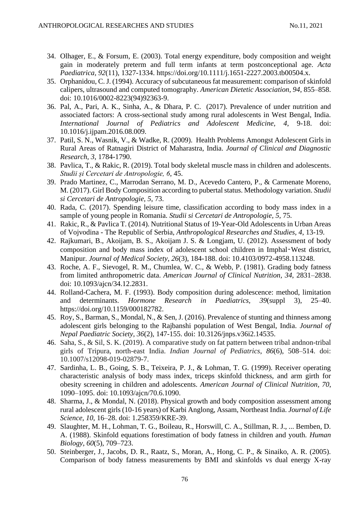- 34. Olhager, E., & Forsum, E. (2003). Total energy expenditure, body composition and weight gain in moderately preterm and full term infants at term postconceptional age. *Acta Paediatrica, 92*(11), 1327-1334. https://doi.org/10.1111/j.1651-2227.2003.tb00504.x.
- 35. Orphanidou, C. J. (1994). Accuracy of subcutaneous fat measurement: comparison of skinfold calipers, ultrasound and computed tomography. *American Dietetic Association, 94*, 855–858. doi: 10.1016/0002-8223(94)92363-9.
- 36. Pal, A., Pari, A. K., Sinha, A., & Dhara, P. C. (2017). Prevalence of under nutrition and associated factors: A cross-sectional study among rural adolescents in West Bengal, India. *International Journal of Pediatrics and Adolescent Medicine, 4*, 9-18. doi: 10.1016/j.ijpam.2016.08.009.
- 37. Patil, S. N., Wasnik, V., & Wadke, R. (2009). Health Problems Amongst Adolescent Girls in Rural Areas of Ratnagiri District of Maharastra, India*. Journal of Clinical and Diagnostic Research, 3*, 1784-1790.
- 38. Pavlica, T., & Rakic, R. (2019). Total body skeletal muscle mass in children and adolescents. *Studii și Cercetari de Antropologie, 6*, 45.
- 39. Prado Martinez, C., Marrodan Serrano, M. D., Acevedo Cantero, P., & Carmenate Moreno, M. (2017). Girl Body Composition according to pubertal status. Methodology variation. *Studii si Cercetari de Antropologie, 5*, 73.
- 40. Rada, C. (2017). Spending leisure time, classification according to body mass index in a sample of young people in Romania. *Studii si Cercetari de Antropologie, 5,* 75.
- 41. Rakic, R., & Pavlica T. (2014). Nutritional Status of 19-Year-Old Adolescents in Urban Areas of Vojvodina - The Republic of Serbia, *Anthropological Researches and Studies, 4*, 13-19.
- 42. Rajkumari, B., Akoijam, B. S., Akoijam J. S. & Longjam, U. (2012). Assessment of body composition and body mass index of adolescent school children in Imphal‑West district, Manipur. *Journal of Medical Society, 26*(3), 184-188. doi: 10.4103/0972-4958.113248.
- 43. Roche, A. F., Sievogel, R. M., Chumlea, W. C., & Webb, P. (1981). Grading body fatness from limited anthropometric data. *American Journal of Clinical Nutrition, 34*, 2831–2838. doi: 10.1093/ajcn/34.12.2831.
- 44. Rolland-Cachera, M. F. (1993). Body composition during adolescence: method, limitation and determinants. *Hormone Research in Paediatrics, 39*(suppl 3), 25–40. https://doi.org/10.1159/000182782.
- 45. Roy, S., Barman, S., Mondal, N., & Sen, J. (2016). Prevalence of stunting and thinness among adolescent girls belonging to the Rajbanshi population of West Bengal, India. *Journal of Nepal Paediatric Society, 36*(2), 147-155. doi: 10.3126/jnps.v36i2.14535.
- 46. Saha, S., & Sil, S. K. (2019). A comparative study on fat pattern between tribal andnon-tribal girls of Tripura, north-east India. *Indian Journal of Pediatrics*, *86*(6), 508–514. doi: 10.1007/s12098-019-02879-7.
- 47. Sardinha, L. B., Going, S. B., Teixeira, P. J., & Lohman, T. G. (1999). Receiver operating characteristic analysis of body mass index, triceps skinfold thickness, and arm girth for obesity screening in children and adolescents. *American Journal of Clinical Nutrition, 70*, 1090–1095. doi: 10.1093/ajcn/70.6.1090.
- 48. Sharma, J., & Mondal, N. (2018). Physical growth and body composition assessment among rural adolescent girls (10-16 years) of Karbi Anglong, Assam, Northeast India. *Journal of Life Science, 10*, 16–28. doi: 1.258359/KRE-39.
- 49. Slaughter, M. H., Lohman, T. G., Boileau, R., Horswill, C. A., Stillman, R. J., ... Bemben, D. A. (1988). Skinfold equations forestimation of body fatness in children and youth. *Human Biology*, *60*(5), 709–723.
- 50. Steinberger, J., Jacobs, D. R., Raatz, S., Moran, A., Hong, C. P., & Sinaiko, A. R. (2005). Comparison of body fatness measurements by BMI and skinfolds vs dual energy X-ray